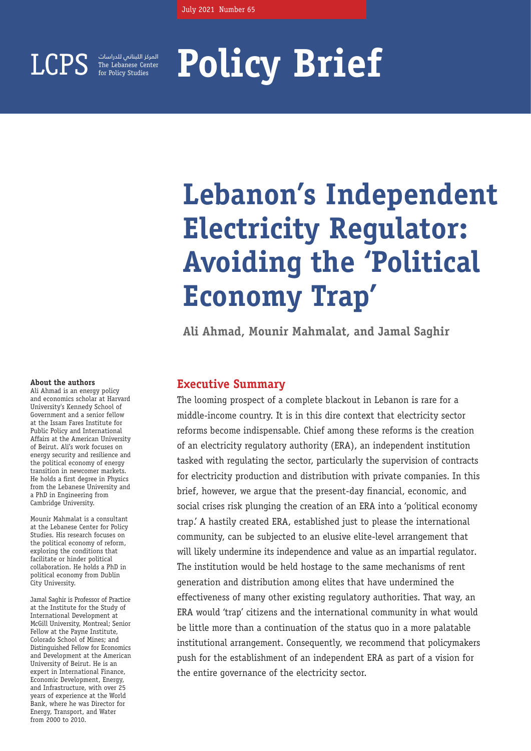

The Lebanese Center for Policy Studies المركز اللبناني للدراسات

# **Policy Brief**

# **Lebanon's Independent Electricity Regulator: Avoiding the 'Political Economy Trap'**

**Ali Ahmad, Mounir Mahmalat, and Jamal Saghir** 

### **Executive Summary**

The looming prospect of a complete blackout in Lebanon is rare for a middle-income country. It is in this dire context that electricity sector reforms become indispensable. Chief among these reforms is the creation of an electricity regulatory authority (ERA), an independent institution tasked with regulating the sector, particularly the supervision of contracts for electricity production and distribution with private companies. In this brief, however, we argue that the present-day financial, economic, and social crises risk plunging the creation of an ERA into a 'political economy trap.' A hastily created ERA, established just to please the international community, can be subjected to an elusive elite-level arrangement that will likely undermine its independence and value as an impartial regulator. The institution would be held hostage to the same mechanisms of rent generation and distribution among elites that have undermined the effectiveness of many other existing regulatory authorities. That way, an ERA would 'trap' citizens and the international community in what would be little more than a continuation of the status quo in a more palatable institutional arrangement. Consequently, we recommend that policymakers push for the establishment of an independent ERA as part of a vision for the entire governance of the electricity sector.

### **About the authors**

Ali Ahmad is an energy policy and economics scholar at Harvard University's Kennedy School of Government and a senior fellow at the Issam Fares Institute for Public Policy and International Affairs at the American University of Beirut. Ali's work focuses on energy security and resilience and the political economy of energy transition in newcomer markets. He holds a first degree in Physics from the Lebanese University and a PhD in Engineering from Cambridge University.

Mounir Mahmalat is a consultant at the Lebanese Center for Policy Studies. His research focuses on the political economy of reform, exploring the conditions that facilitate or hinder political collaboration. He holds a PhD in political economy from Dublin City University.

Jamal Saghir is Professor of Practice at the Institute for the Study of International Development at McGill University, Montreal; Senior Fellow at the Payne Institute, Colorado School of Mines; and Distinguished Fellow for Economics and Development at the American University of Beirut. He is an expert in International Finance Economic Development, Energy, and Infrastructure, with over 25 years of experience at the World Bank, where he was Director for Energy, Transport, and Water from 2000 to 2010.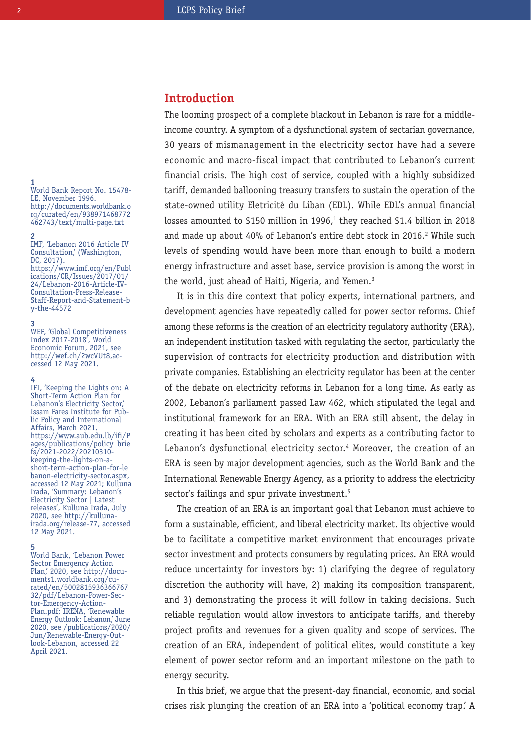### **Introduction**

The looming prospect of a complete blackout in Lebanon is rare for a middleincome country. A symptom of a dysfunctional system of sectarian governance, 30 years of mismanagement in the electricity sector have had a severe economic and macro-fiscal impact that contributed to Lebanon's current financial crisis. The high cost of service, coupled with a highly subsidized tariff, demanded ballooning treasury transfers to sustain the operation of the state-owned utility Eletricité du Liban (EDL). While EDL's annual financial losses amounted to \$150 million in 1996, $1$  they reached \$1.4 billion in 2018 and made up about 40% of Lebanon's entire debt stock in 2016.<sup>2</sup> While such levels of spending would have been more than enough to build a modern energy infrastructure and asset base, service provision is among the worst in the world, just ahead of Haiti, Nigeria, and Yemen.<sup>3</sup>

It is in this dire context that policy experts, international partners, and development agencies have repeatedly called for power sector reforms. Chief among these reforms is the creation of an electricity regulatory authority (ERA), an independent institution tasked with regulating the sector, particularly the supervision of contracts for electricity production and distribution with private companies. Establishing an electricity regulator has been at the center of the debate on electricity reforms in Lebanon for a long time. As early as 2002, Lebanon's parliament passed Law 462, which stipulated the legal and institutional framework for an ERA. With an ERA still absent, the delay in creating it has been cited by scholars and experts as a contributing factor to Lebanon's dysfunctional electricity sector.<sup>4</sup> Moreover, the creation of an ERA is seen by major development agencies, such as the World Bank and the International Renewable Energy Agency, as a priority to address the electricity sector's failings and spur private investment.<sup>5</sup>

The creation of an ERA is an important goal that Lebanon must achieve to form a sustainable, efficient, and liberal electricity market. Its objective would be to facilitate a competitive market environment that encourages private sector investment and protects consumers by regulating prices. An ERA would reduce uncertainty for investors by: 1) clarifying the degree of regulatory discretion the authority will have, 2) making its composition transparent, and 3) demonstrating the process it will follow in taking decisions. Such reliable regulation would allow investors to anticipate tariffs, and thereby project profits and revenues for a given quality and scope of services. The creation of an ERA, independent of political elites, would constitute a key element of power sector reform and an important milestone on the path to energy security.

In this brief, we argue that the present-day financial, economic, and social crises risk plunging the creation of an ERA into a 'political economy trap.' A

**1** World Bank Report No. 15478- LE, November 1996. http://documents.worldbank.o rg/curated/en/938971468772 462743/text/multi-page.txt

### **2**

IMF, 'Lebanon 2016 Article IV Consultation,' (Washington, DC, 2017). https://www.imf.org/en/Publ ications/CR/Issues/2017/01/ 24/Lebanon-2016-Article-IV-Consultation-Press-Release-Staff-Report-and-Statement-b y-the-44572

### **3**

WEF, 'Global Competitiveness Index 2017-2018', World Economic Forum, 2021, see http://wef.ch/2wcVUt8,accessed 12 May 2021.

### **4**

IFI, 'Keeping the Lights on: A Short-Term Action Plan for Lebanon's Electricity Sector,' Issam Fares Institute for Public Policy and International Affairs, March 2021. https://www.aub.edu.lb/ifi/P ages/publications/policy\_brie fs/2021-2022/20210310 keeping-the-lights-on-ashort-term-action-plan-for-le banon-electricity-sector.aspx, accessed 12 May 2021; Kulluna Irada, 'Summary: Lebanon's Electricity Sector | Latest releases', Kulluna Irada, July 2020, see http://kullunairada.org/release-77, accessed 12 May 2021.

#### **5**

World Bank, 'Lebanon Power Sector Emergency Action Plan,' 2020, see http://docu ments1.worldbank.org/curated/en/5002815936366767 32/pdf/Lebanon-Power-Sec tor-Emergency-Action-Plan.pdf; IRENA, 'Renewable Energy Outlook: Lebanon,' June 2020, see /publications/2020/ Jun/Renewable-Energy-Outlook-Lebanon, accessed 22 April 2021.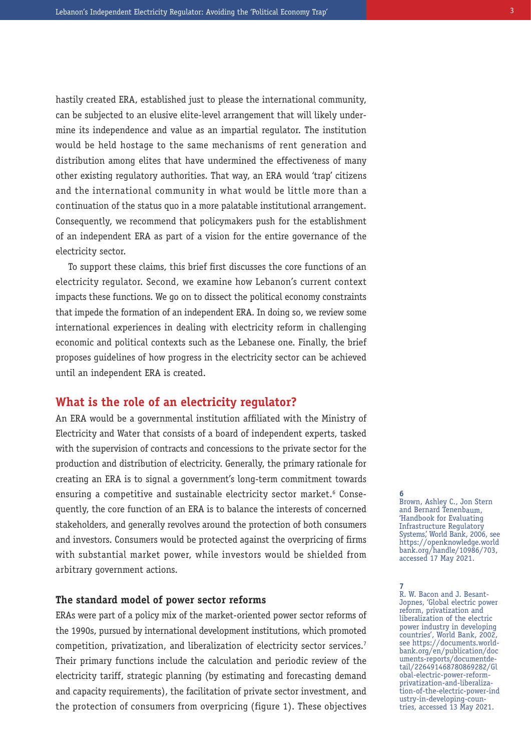hastily created ERA, established just to please the international community, can be subjected to an elusive elite-level arrangement that will likely undermine its independence and value as an impartial regulator. The institution would be held hostage to the same mechanisms of rent generation and distribution among elites that have undermined the effectiveness of many other existing regulatory authorities. That way, an ERA would 'trap' citizens and the international community in what would be little more than a continuation of the status quo in a more palatable institutional arrangement. Consequently, we recommend that policymakers push for the establishment of an independent ERA as part of a vision for the entire governance of the electricity sector.

To support these claims, this brief first discusses the core functions of an electricity regulator. Second, we examine how Lebanon's current context impacts these functions. We go on to dissect the political economy constraints that impede the formation of an independent ERA. In doing so, we review some international experiences in dealing with electricity reform in challenging economic and political contexts such as the Lebanese one. Finally, the brief proposes guidelines of how progress in the electricity sector can be achieved until an independent ERA is created.

### **What is the role of an electricity regulator?**

An ERA would be a governmental institution affiliated with the Ministry of Electricity and Water that consists of a board of independent experts, tasked with the supervision of contracts and concessions to the private sector for the production and distribution of electricity. Generally, the primary rationale for creating an ERA is to signal a government's long-term commitment towards ensuring a competitive and sustainable electricity sector market.<sup>6</sup> Consequently, the core function of an ERA is to balance the interests of concerned stakeholders, and generally revolves around the protection of both consumers and investors. Consumers would be protected against the overpricing of firms with substantial market power, while investors would be shielded from arbitrary government actions.

### **The standard model of power sector reforms**

ERAs were part of a policy mix of the market-oriented power sector reforms of the 1990s, pursued by international development institutions, which promoted competition, privatization, and liberalization of electricity sector services.<sup>7</sup> Their primary functions include the calculation and periodic review of the electricity tariff, strategic planning (by estimating and forecasting demand and capacity requirements), the facilitation of private sector investment, and the protection of consumers from overpricing (figure 1). These objectives

**6** Brown, Ashley C., Jon Stern and Bernard Tenenbaum, 'Handbook for Evaluating Infrastructure Regulatory Systems,' World Bank, 2006, see https://openknowledge.world bank.org/handle/10986/703, accessed 17 May 2021.

**7** R. W. Bacon and J. Besant-Jopnes, 'Global electric power reform, privatization and liberalization of the electric power industry in developing countries', World Bank, 2002, see https://documents.worldbank.org/en/publication/doc uments-reports/documentdetail/226491468780869282/Gl obal-electric-power-reformprivatization-and-liberalization-of-the-electric-power-ind ustry-in-developing-countries, accessed 13 May 2021.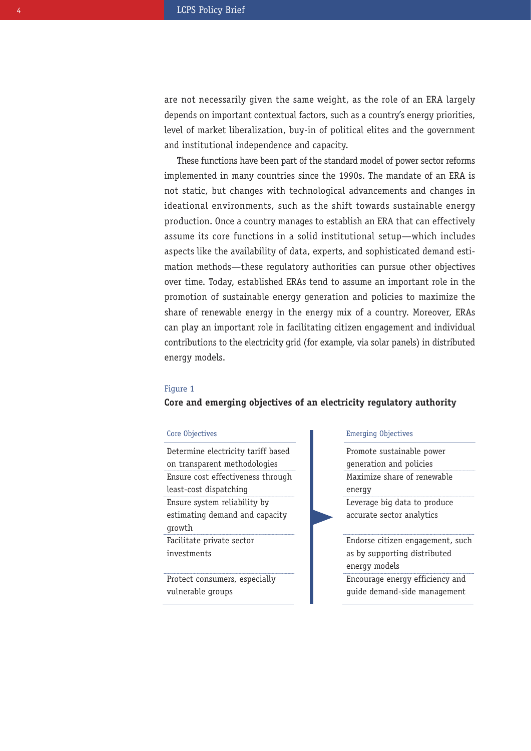are not necessarily given the same weight, as the role of an ERA largely depends on important contextual factors, such as a country's energy priorities, level of market liberalization, buy-in of political elites and the government and institutional independence and capacity.

These functions have been part of the standard model of power sector reforms implemented in many countries since the 1990s. The mandate of an ERA is not static, but changes with technological advancements and changes in ideational environments, such as the shift towards sustainable energy production. Once a country manages to establish an ERA that can effectively assume its core functions in a solid institutional setup—which includes aspects like the availability of data, experts, and sophisticated demand estimation methods—these regulatory authorities can pursue other objectives over time. Today, established ERAs tend to assume an important role in the promotion of sustainable energy generation and policies to maximize the share of renewable energy in the energy mix of a country. Moreover, ERAs can play an important role in facilitating citizen engagement and individual contributions to the electricity grid (for example, via solar panels) in distributed energy models.

### Figure 1

### **Core and emerging objectives of an electricity regulatory authority**

Determine electricity tariff based on transparent methodologies Ensure cost effectiveness through least-cost dispatching Ensure system reliability by estimating demand and capacity growth Facilitate private sector investments

Protect consumers, especially

vulnerable groups

### Core Objectives Emerging Objectives

Promote sustainable power generation and policies Maximize share of renewable energy

Leverage big data to produce accurate sector analytics

Endorse citizen engagement, such as by supporting distributed energy models

Encourage energy efficiency and guide demand-side management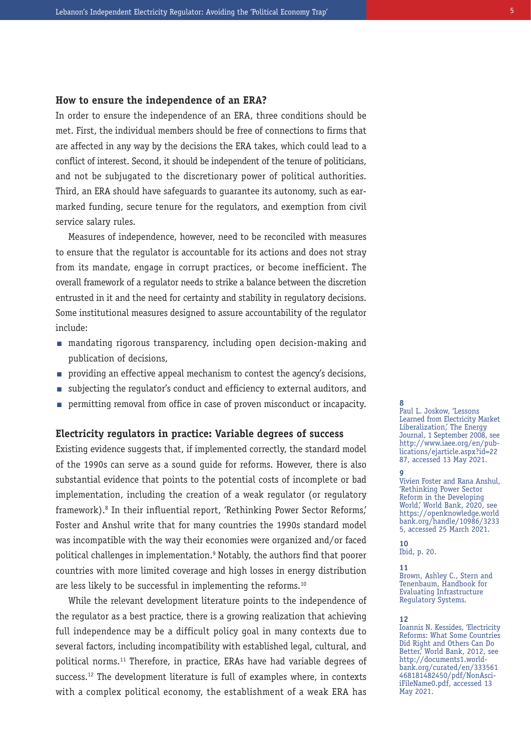### **How to ensure the independence of an ERA?**

In order to ensure the independence of an ERA, three conditions should be met. First, the individual members should be free of connections to firms that are affected in any way by the decisions the ERA takes, which could lead to a conflict of interest. Second, it should be independent of the tenure of politicians, and not be subjugated to the discretionary power of political authorities. Third, an ERA should have safeguards to guarantee its autonomy, such as earmarked funding, secure tenure for the regulators, and exemption from civil service salary rules.

Measures of independence, however, need to be reconciled with measures to ensure that the regulator is accountable for its actions and does not stray from its mandate, engage in corrupt practices, or become inefficient. The overall framework of a regulator needs to strike a balance between the discretion entrusted in it and the need for certainty and stability in regulatory decisions. Some institutional measures designed to assure accountability of the regulator include:

- $\blacksquare$  mandating rigorous transparency, including open decision-making and publication of decisions,
- providing an effective appeal mechanism to contest the agency's decisions, n
- $\quad \blacksquare \;$  subjecting the regulator's conduct and efficiency to external auditors, and
- permitting removal from office in case of proven misconduct or incapacity. n **8**

### **Electricity regulators in practice: Variable degrees of success**

Existing evidence suggests that, if implemented correctly, the standard model of the 1990s can serve as a sound guide for reforms. However, there is also substantial evidence that points to the potential costs of incomplete or bad implementation, including the creation of a weak regulator (or regulatory framework).<sup>8</sup> In their influential report, 'Rethinking Power Sector Reforms,' Foster and Anshul write that for many countries the 1990s standard model was incompatible with the way their economies were organized and/or faced political challenges in implementation.9 Notably, the authors find that poorer countries with more limited coverage and high losses in energy distribution are less likely to be successful in implementing the reforms.<sup>10</sup>

While the relevant development literature points to the independence of the regulator as a best practice, there is a growing realization that achieving full independence may be a difficult policy goal in many contexts due to several factors, including incompatibility with established legal, cultural, and political norms.11 Therefore, in practice, ERAs have had variable degrees of success.<sup>12</sup> The development literature is full of examples where, in contexts with a complex political economy, the establishment of a weak ERA has

Paul L. Joskow, 'Lessons Learned from Electricity Market Liberalization,' The Energy Journal, 1 September 2008, see http://www.iaee.org/en/publications/ejarticle.aspx?id=22 87, accessed 13 May 2021.

#### **9**

Vivien Foster and Rana Anshul, 'Rethinking Power Sector Reform in the Developing World,' World Bank, 2020, see https://openknowledge.world bank.org/handle/10986/3233 5, accessed 25 March 2021.

**10** Ibid, p. 20.

**11**

Brown, Ashley C., Stern and Tenenbaum, Handbook for Evaluating Infrastructure Regulatory Systems.

#### **12**

Ioannis N. Kessides, 'Electricity Reforms: What Some Countries Did Right and Others Can Do Better,' World Bank, 2012, see http://documents1.worldbank.org/curated/en/333561 468181482450/pdf/NonAsciiFileName0.pdf, accessed 13 May 2021.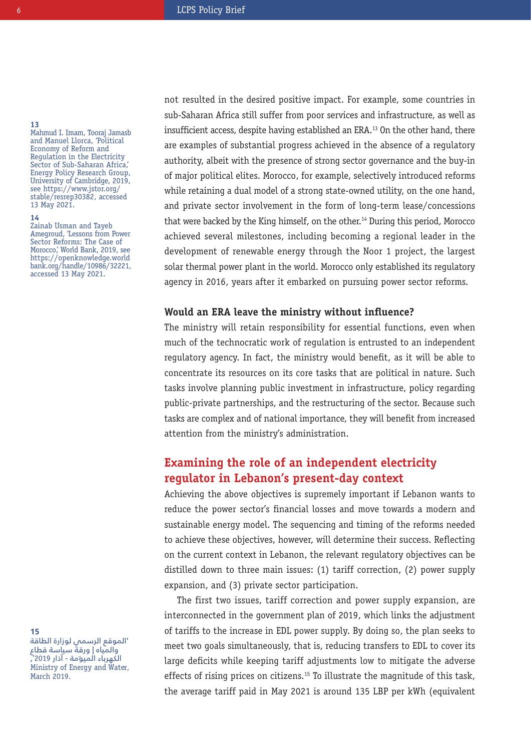### **13**

Mahmud I. Imam, Tooraj Jamasb and Manuel Llorca, 'Political Economy of Reform and Regulation in the Electricity Sector of Sub-Saharan Africa, Energy Policy Research Group, University of Cambridge, 2019, see https://www.jstor.org/ stable/resrep30382, accessed 13 May 2021.

### **14**

Zainab Usman and Tayeb Amegroud, 'Lessons from Power Sector Reforms: The Case of Morocco,' World Bank, 2019, see https://openknowledge.world bank.org/handle/10986/32221, accessed 13 May 2021.

not resulted in the desired positive impact. For example, some countries in sub-Saharan Africa still suffer from poor services and infrastructure, as well as insufficient access, despite having established an ERA.<sup>13</sup> On the other hand, there are examples of substantial progress achieved in the absence of a regulatory authority, albeit with the presence of strong sector governance and the buy-in of major political elites. Morocco, for example, selectively introduced reforms while retaining a dual model of a strong state-owned utility, on the one hand, and private sector involvement in the form of long-term lease/concessions that were backed by the King himself, on the other.<sup>14</sup> During this period, Morocco achieved several milestones, including becoming a regional leader in the development of renewable energy through the Noor 1 project, the largest solar thermal power plant in the world. Morocco only established its regulatory agency in 2016, years after it embarked on pursuing power sector reforms.

### **Would an ERA leave the ministry without influence?**

The ministry will retain responsibility for essential functions, even when much of the technocratic work of regulation is entrusted to an independent regulatory agency. In fact, the ministry would benefit, as it will be able to concentrate its resources on its core tasks that are political in nature. Such tasks involve planning public investment in infrastructure, policy regarding public-private partnerships, and the restructuring of the sector. Because such tasks are complex and of national importance, they will benefit from increased attention from the ministry's administration.

## **Examining the role of an independent electricity regulator in Lebanon's present-day context**

Achieving the above objectives is supremely important if Lebanon wants to reduce the power sector's financial losses and move towards a modern and sustainable energy model. The sequencing and timing of the reforms needed to achieve these objectives, however, will determine their success. Reflecting on the current context in Lebanon, the relevant regulatory objectives can be distilled down to three main issues: (1) tariff correction, (2) power supply expansion, and (3) private sector participation.

The first two issues, tariff correction and power supply expansion, are interconnected in the government plan of 2019, which links the adjustment of tariffs to the increase in EDL power supply. By doing so, the plan seeks to meet two goals simultaneously, that is, reducing transfers to EDL to cover its large deficits while keeping tariff adjustments low to mitigate the adverse effects of rising prices on citizens.<sup>15</sup> To illustrate the magnitude of this task, the average tariff paid in May 2021 is around 135 LBP per kWh (equivalent

**15**

'الموقع الرسمي لوزارة الطاقة والمياه | ورقة سياسة قطاع الكهرباء الميوّمة - آذار 2019', Ministry of Energy and Water, March 2019.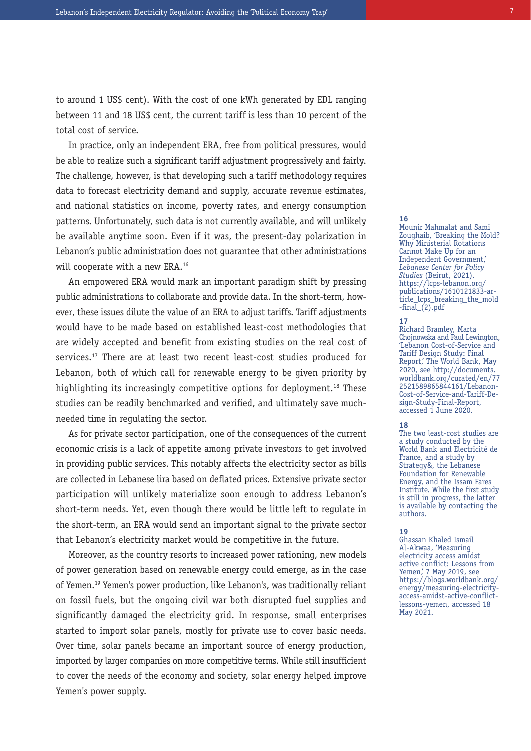to around 1 US\$ cent). With the cost of one kWh generated by EDL ranging between 11 and 18 US\$ cent, the current tariff is less than 10 percent of the total cost of service.

In practice, only an independent ERA, free from political pressures, would be able to realize such a significant tariff adjustment progressively and fairly. The challenge, however, is that developing such a tariff methodology requires data to forecast electricity demand and supply, accurate revenue estimates, and national statistics on income, poverty rates, and energy consumption patterns. Unfortunately, such data is not currently available, and will unlikely be available anytime soon. Even if it was, the present-day polarization in Lebanon's public administration does not guarantee that other administrations will cooperate with a new ERA.<sup>16</sup>

An empowered ERA would mark an important paradigm shift by pressing public administrations to collaborate and provide data. In the short-term, however, these issues dilute the value of an ERA to adjust tariffs. Tariff adjustments would have to be made based on established least-cost methodologies that are widely accepted and benefit from existing studies on the real cost of services.<sup>17</sup> There are at least two recent least-cost studies produced for Lebanon, both of which call for renewable energy to be given priority by highlighting its increasingly competitive options for deployment.<sup>18</sup> These studies can be readily benchmarked and verified, and ultimately save muchneeded time in regulating the sector.

As for private sector participation, one of the consequences of the current economic crisis is a lack of appetite among private investors to get involved in providing public services. This notably affects the electricity sector as bills are collected in Lebanese lira based on deflated prices. Extensive private sector participation will unlikely materialize soon enough to address Lebanon's short-term needs. Yet, even though there would be little left to regulate in the short-term, an ERA would send an important signal to the private sector that Lebanon's electricity market would be competitive in the future.

Moreover, as the country resorts to increased power rationing, new models of power generation based on renewable energy could emerge, as in the case of Yemen.19 Yemen's power production, like Lebanon's, was traditionally reliant on fossil fuels, but the ongoing civil war both disrupted fuel supplies and significantly damaged the electricity grid. In response, small enterprises started to import solar panels, mostly for private use to cover basic needs. Over time, solar panels became an important source of energy production, imported by larger companies on more competitive terms. While still insufficient to cover the needs of the economy and society, solar energy helped improve Yemen's power supply.

### **16**

Mounir Mahmalat and Sami Zoughaib, 'Breaking the Mold? Why Ministerial Rotations Cannot Make Up for an Independent Government,' *Lebanese Center for Policy Studies* (Beirut, 2021). https://lcps-lebanon.org/ publications/1610121833-article\_lcps\_breaking\_the\_mold  $-final_(2).pdf$ 

### **17**

Richard Bramley, Marta Chojnowska and Paul Lewington, 'Lebanon Cost-of-Service and Tariff Design Study: Final Report,' The World Bank, May 2020, see http://documents. worldbank.org/curated/en/77 2521589865844161/Lebanon-<br>Cost-of-Service-and-Tariff-De-Cost-of-Service-and-Tariff-De- sign-Study-Final-Report, accessed 1 June 2020.

### **18**

The two least-cost studies are a study conducted by the World Bank and Electricité de France, and a study by Strategy&, the Lebanese Foundation for Renewable Energy, and the Issam Fares Institute. While the first study is still in progress, the latter is available by contacting the authors.

### **19**

Ghassan Khaled Ismail Al-Akwaa, 'Measuring electricity access amidst active conflict: Lessons from Yemen,' 7 May 2019, see https://blogs.worldbank.org/ energy/measuring-electricityaccess-amidst-active-conflictlessons-yemen, accessed 18 May 2021.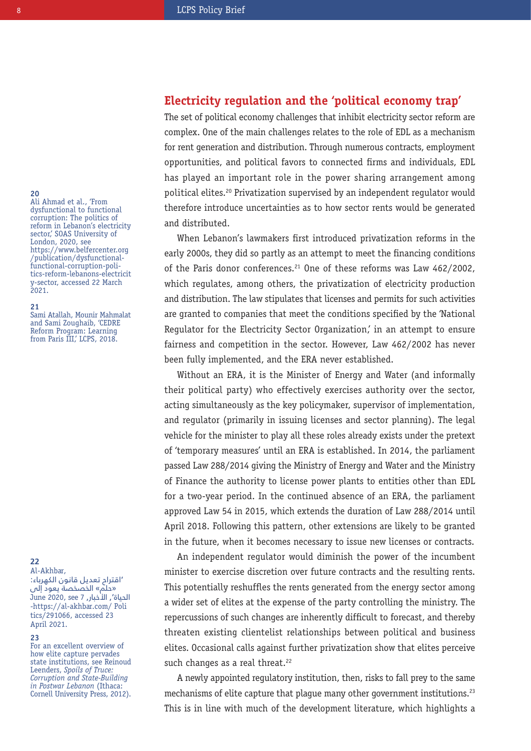## **Electricity regulation and the 'political economy trap'**

The set of political economy challenges that inhibit electricity sector reform are complex. One of the main challenges relates to the role of EDL as a mechanism for rent generation and distribution. Through numerous contracts, employment opportunities, and political favors to connected firms and individuals, EDL has played an important role in the power sharing arrangement among political elites.20 Privatization supervised by an independent regulator would therefore introduce uncertainties as to how sector rents would be generated and distributed.

When Lebanon's lawmakers first introduced privatization reforms in the early 2000s, they did so partly as an attempt to meet the financing conditions of the Paris donor conferences.<sup>21</sup> One of these reforms was Law 462/2002, which regulates, among others, the privatization of electricity production and distribution. The law stipulates that licenses and permits for such activities are granted to companies that meet the conditions specified by the 'National Requlator for the Electricity Sector Organization,' in an attempt to ensure fairness and competition in the sector. However, Law 462/2002 has never been fully implemented, and the ERA never established.

Without an ERA, it is the Minister of Energy and Water (and informally their political party) who effectively exercises authority over the sector, acting simultaneously as the key policymaker, supervisor of implementation, and regulator (primarily in issuing licenses and sector planning). The legal vehicle for the minister to play all these roles already exists under the pretext of 'temporary measures' until an ERA is established. In 2014, the parliament passed Law 288/2014 giving the Ministry of Energy and Water and the Ministry of Finance the authority to license power plants to entities other than EDL for a two-year period. In the continued absence of an ERA, the parliament approved Law 54 in 2015, which extends the duration of Law 288/2014 until April 2018. Following this pattern, other extensions are likely to be granted in the future, when it becomes necessary to issue new licenses or contracts.

An independent regulator would diminish the power of the incumbent minister to exercise discretion over future contracts and the resulting rents. This potentially reshuffles the rents generated from the energy sector among a wider set of elites at the expense of the party controlling the ministry. The repercussions of such changes are inherently difficult to forecast, and thereby threaten existing clientelist relationships between political and business elites. Occasional calls against further privatization show that elites perceive such changes as a real threat.<sup>22</sup>

A newly appointed regulatory institution, then, risks to fall prey to the same mechanisms of elite capture that plaque many other government institutions.<sup>23</sup> This is in line with much of the development literature, which highlights a

### **20**

Ali Ahmad et al., 'From dysfunctional to functional corruption: The politics of reform in Lebanon's electricity sector,' SOAS University of London, 2020, see https://www.belfercenter.org /publication/dysfunctionalfunctional-corruption-politics-reform-lebanons-electricit y-sector, accessed 22 March 2021.

### **21**

Sami Atallah, Mounir Mahmalat and Sami Zoughaib, 'CEDRE Reform Program: Learning from Paris III,' LCPS, 2018.

### **22**

Al-Akhbar, 'اقتراح تعديل قانون الكهرباء: «حلم» الخصخصة يعود إلى الحياة', الأخبار, 7 see 2020, June -https://al-akhbar.com/ Poli tics/291066, accessed 23 April 2021.

### **23**

For an excellent overview of how elite capture pervades state institutions, see Reinoud Leenders, *Spoils of Truce: Corruption and State-Building in Postwar Lebanon* (Ithaca: Cornell University Press, 2012).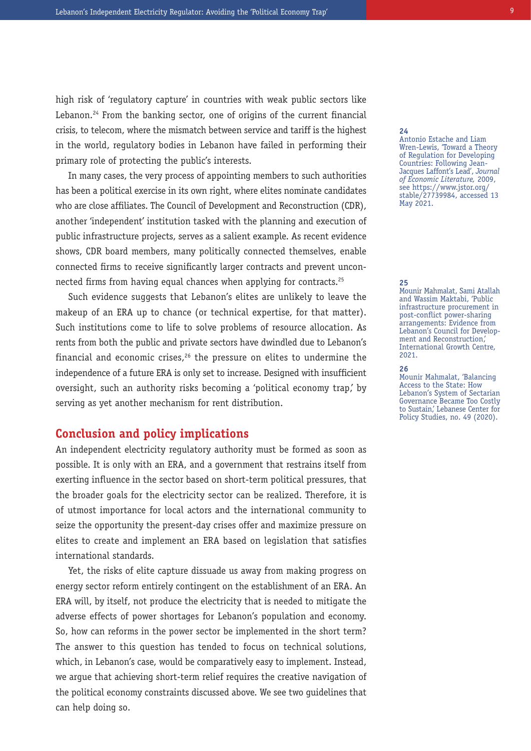high risk of 'regulatory capture' in countries with weak public sectors like Lebanon.<sup>24</sup> From the banking sector, one of origins of the current financial crisis, to telecom, where the mismatch between service and tariff is the highest in the world, regulatory bodies in Lebanon have failed in performing their primary role of protecting the public's interests.

In many cases, the very process of appointing members to such authorities has been a political exercise in its own right, where elites nominate candidates who are close affiliates. The Council of Development and Reconstruction (CDR), another 'independent' institution tasked with the planning and execution of public infrastructure projects, serves as a salient example. As recent evidence shows, CDR board members, many politically connected themselves, enable connected firms to receive significantly larger contracts and prevent unconnected firms from having equal chances when applying for contracts.25

Such evidence suggests that Lebanon's elites are unlikely to leave the makeup of an ERA up to chance (or technical expertise, for that matter). Such institutions come to life to solve problems of resource allocation. As rents from both the public and private sectors have dwindled due to Lebanon's financial and economic crises, $26$  the pressure on elites to undermine the independence of a future ERA is only set to increase. Designed with insufficient oversight, such an authority risks becoming a 'political economy trap,' by serving as yet another mechanism for rent distribution.

### **Conclusion and policy implications**

An independent electricity regulatory authority must be formed as soon as possible. It is only with an ERA, and a government that restrains itself from exerting influence in the sector based on short-term political pressures, that the broader goals for the electricity sector can be realized. Therefore, it is of utmost importance for local actors and the international community to seize the opportunity the present-day crises offer and maximize pressure on elites to create and implement an ERA based on legislation that satisfies international standards.

Yet, the risks of elite capture dissuade us away from making progress on energy sector reform entirely contingent on the establishment of an ERA. An ERA will, by itself, not produce the electricity that is needed to mitigate the adverse effects of power shortages for Lebanon's population and economy. So, how can reforms in the power sector be implemented in the short term? The answer to this question has tended to focus on technical solutions, which, in Lebanon's case, would be comparatively easy to implement. Instead, we argue that achieving short-term relief requires the creative navigation of the political economy constraints discussed above. We see two guidelines that can help doing so.

### **24**

Antonio Estache and Liam Wren-Lewis, 'Toward a Theory of Regulation for Developing Countries: Following Jean-Jacques Laffont's Lead', *Journal of Economic Literature,* 2009, see https://www.jstor.org/ stable/27739984, accessed 13 May 2021.

#### **25**

Mounir Mahmalat, Sami Atallah and Wassim Maktabi, 'Public infrastructure procurement in post-conflict power-sharing arrangements: Evidence from Lebanon's Council for Development and Reconstruction,' International Growth Centre, 2021.

### **26**

Mounir Mahmalat, 'Balancing Access to the State: How Lebanon's System of Sectarian Governance Became Too Costly to Sustain,' Lebanese Center for Policy Studies, no. 49 (2020).